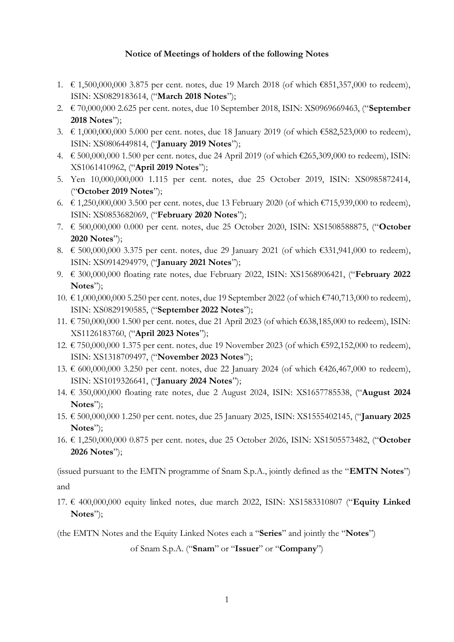## **Notice of Meetings of holders of the following Notes**

- 1. € 1,500,000,000 3.875 per cent. notes, due 19 March 2018 (of which €851,357,000 to redeem), ISIN: XS0829183614, ("**March 2018 Notes**");
- 2. € 70,000,000 2.625 per cent. notes, due 10 September 2018, ISIN: XS0969669463, ("**September 2018 Notes**");
- 3. € 1,000,000,000 5.000 per cent. notes, due 18 January 2019 (of which €582,523,000 to redeem), ISIN: XS0806449814, ("**January 2019 Notes**");
- 4. € 500,000,000 1.500 per cent. notes, due 24 April 2019 (of which €265,309,000 to redeem), ISIN: XS1061410962, ("**April 2019 Notes**");
- 5. Yen 10,000,000,000 1.115 per cent. notes, due 25 October 2019, ISIN: XS0985872414, ("**October 2019 Notes**");
- 6. € 1,250,000,000 3.500 per cent. notes, due 13 February 2020 (of which €715,939,000 to redeem), ISIN: XS0853682069, ("**February 2020 Notes**");
- 7. € 500,000,000 0.000 per cent. notes, due 25 October 2020, ISIN: XS1508588875, ("**October 2020 Notes**");
- 8. € 500,000,000 3.375 per cent. notes, due 29 January 2021 (of which €331,941,000 to redeem), ISIN: XS0914294979, ("**January 2021 Notes**");
- 9. € 300,000,000 floating rate notes, due February 2022, ISIN: XS1568906421, ("**February 2022 Notes**");
- 10. € 1,000,000,000 5.250 per cent. notes, due 19 September 2022 (of which €740,713,000 to redeem), ISIN: XS0829190585, ("**September 2022 Notes**");
- 11. € 750,000,000 1.500 per cent. notes, due 21 April 2023 (of which €638,185,000 to redeem), ISIN: XS1126183760, ("**April 2023 Notes**");
- 12. € 750,000,000 1.375 per cent. notes, due 19 November 2023 (of which €592,152,000 to redeem), ISIN: XS1318709497, ("**November 2023 Notes**");
- 13. € 600,000,000 3.250 per cent. notes, due 22 January 2024 (of which €426,467,000 to redeem), ISIN: XS1019326641, ("**January 2024 Notes**");
- 14. € 350,000,000 floating rate notes, due 2 August 2024, ISIN: XS1657785538, ("**August 2024 Notes**");
- 15. € 500,000,000 1.250 per cent. notes, due 25 January 2025, ISIN: XS1555402145, ("**January 2025 Notes**");
- 16. € 1,250,000,000 0.875 per cent. notes, due 25 October 2026, ISIN: XS1505573482, ("**October 2026 Notes**");

(issued pursuant to the EMTN programme of Snam S.p.A., jointly defined as the "**EMTN Notes**")

and

17. € 400,000,000 equity linked notes, due march 2022, ISIN: XS1583310807 ("**Equity Linked Notes**");

(the EMTN Notes and the Equity Linked Notes each a "**Series**" and jointly the "**Notes**")

of Snam S.p.A. ("**Snam**" or "**Issuer**" or "**Company**")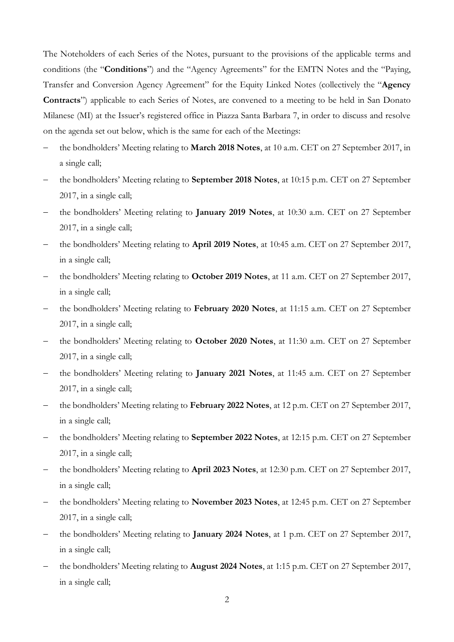The Noteholders of each Series of the Notes, pursuant to the provisions of the applicable terms and conditions (the "**Conditions**") and the "Agency Agreements" for the EMTN Notes and the "Paying, Transfer and Conversion Agency Agreement" for the Equity Linked Notes (collectively the "**Agency Contracts**") applicable to each Series of Notes, are convened to a meeting to be held in San Donato Milanese (MI) at the Issuer's registered office in Piazza Santa Barbara 7, in order to discuss and resolve on the agenda set out below, which is the same for each of the Meetings:

- the bondholders' Meeting relating to **March 2018 Notes**, at 10 a.m. CET on 27 September 2017, in a single call;
- the bondholders' Meeting relating to **September 2018 Notes**, at 10:15 p.m. CET on 27 September 2017, in a single call;
- the bondholders' Meeting relating to **January 2019 Notes**, at 10:30 a.m. CET on 27 September 2017, in a single call;
- the bondholders' Meeting relating to **April 2019 Notes**, at 10:45 a.m. CET on 27 September 2017, in a single call;
- the bondholders' Meeting relating to **October 2019 Notes**, at 11 a.m. CET on 27 September 2017, in a single call;
- the bondholders' Meeting relating to **February 2020 Notes**, at 11:15 a.m. CET on 27 September 2017, in a single call;
- the bondholders' Meeting relating to **October 2020 Notes**, at 11:30 a.m. CET on 27 September 2017, in a single call;
- the bondholders' Meeting relating to **January 2021 Notes**, at 11:45 a.m. CET on 27 September 2017, in a single call;
- the bondholders' Meeting relating to **February 2022 Notes**, at 12 p.m. CET on 27 September 2017, in a single call;
- the bondholders' Meeting relating to **September 2022 Notes**, at 12:15 p.m. CET on 27 September 2017, in a single call;
- the bondholders' Meeting relating to **April 2023 Notes**, at 12:30 p.m. CET on 27 September 2017, in a single call;
- the bondholders' Meeting relating to **November 2023 Notes**, at 12:45 p.m. CET on 27 September 2017, in a single call;
- the bondholders' Meeting relating to **January 2024 Notes**, at 1 p.m. CET on 27 September 2017, in a single call;
- the bondholders' Meeting relating to **August 2024 Notes**, at 1:15 p.m. CET on 27 September 2017, in a single call;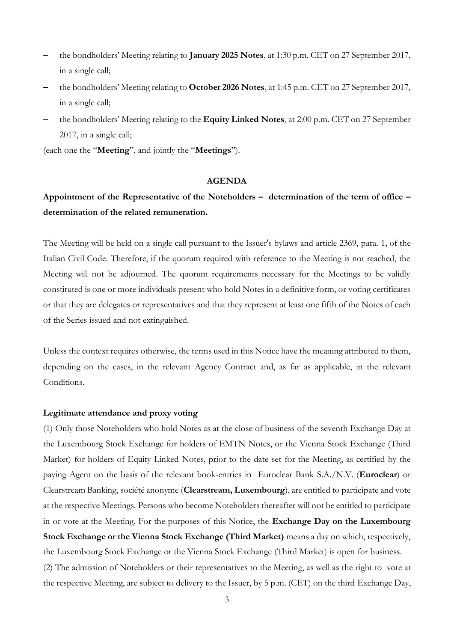- the bondholders' Meeting relating to **January 2025 Notes**, at 1:30 p.m. CET on 27 September 2017, in a single call;
- the bondholders' Meeting relating to **October 2026 Notes**, at 1:45 p.m. CET on 27 September 2017, in a single call;
- the bondholders' Meeting relating to the **Equity Linked Notes**, at 2:00 p.m. CET on 27 September 2017, in a single call;

(each one the "**Meeting**", and jointly the "**Meetings**").

#### **AGENDA**

# **Appointment of the Representative of the Noteholders – determination of the term of office – determination of the related remuneration.**

The Meeting will be held on a single call pursuant to the Issuer's bylaws and article 2369, para. 1, of the Italian Civil Code. Therefore, if the quorum required with reference to the Meeting is not reached, the Meeting will not be adjourned. The quorum requirements necessary for the Meetings to be validly constituted is one or more individuals present who hold Notes in a definitive form, or voting certificates or that they are delegates or representatives and that they represent at least one fifth of the Notes of each of the Series issued and not extinguished.

Unless the context requires otherwise, the terms used in this Notice have the meaning attributed to them, depending on the cases, in the relevant Agency Contract and, as far as applicable, in the relevant Conditions.

#### **Legitimate attendance and proxy voting**

(1) Only those Noteholders who hold Notes as at the close of business of the seventh Exchange Day at the Luxembourg Stock Exchange for holders of EMTN Notes, or the Vienna Stock Exchange (Third Market) for holders of Equity Linked Notes, prior to the date set for the Meeting, as certified by the paying Agent on the basis of the relevant book-entries in Euroclear Bank S.A./N.V. (**Euroclear**) or Clearstream Banking, société anonyme (**Clearstream, Luxembourg**), are entitled to participate and vote at the respective Meetings. Persons who become Noteholders thereafter will not be entitled to participate in or vote at the Meeting. For the purposes of this Notice, the **Exchange Day on the Luxembourg Stock Exchange or the Vienna Stock Exchange (Third Market)** means a day on which, respectively, the Luxembourg Stock Exchange or the Vienna Stock Exchange (Third Market) is open for business.

(2) The admission of Noteholders or their representatives to the Meeting, as well as the right to vote at the respective Meeting, are subject to delivery to the Issuer, by 5 p.m. (CET) on the third Exchange Day,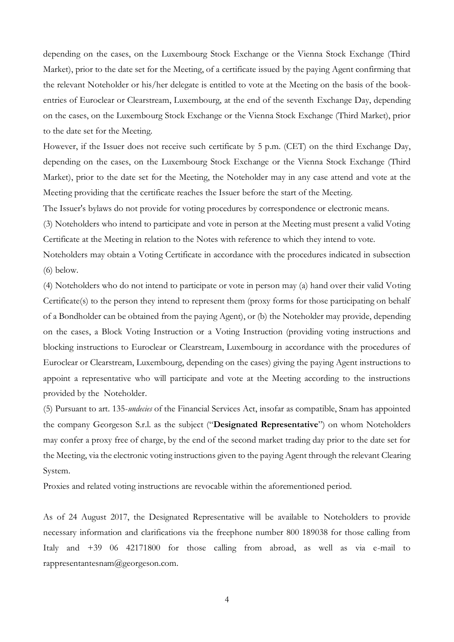depending on the cases, on the Luxembourg Stock Exchange or the Vienna Stock Exchange (Third Market), prior to the date set for the Meeting, of a certificate issued by the paying Agent confirming that the relevant Noteholder or his/her delegate is entitled to vote at the Meeting on the basis of the bookentries of Euroclear or Clearstream, Luxembourg, at the end of the seventh Exchange Day, depending on the cases, on the Luxembourg Stock Exchange or the Vienna Stock Exchange (Third Market), prior to the date set for the Meeting.

However, if the Issuer does not receive such certificate by 5 p.m. (CET) on the third Exchange Day, depending on the cases, on the Luxembourg Stock Exchange or the Vienna Stock Exchange (Third Market), prior to the date set for the Meeting, the Noteholder may in any case attend and vote at the Meeting providing that the certificate reaches the Issuer before the start of the Meeting.

The Issuer's bylaws do not provide for voting procedures by correspondence or electronic means.

(3) Noteholders who intend to participate and vote in person at the Meeting must present a valid Voting Certificate at the Meeting in relation to the Notes with reference to which they intend to vote.

Noteholders may obtain a Voting Certificate in accordance with the procedures indicated in subsection (6) below.

(4) Noteholders who do not intend to participate or vote in person may (a) hand over their valid Voting Certificate(s) to the person they intend to represent them (proxy forms for those participating on behalf of a Bondholder can be obtained from the paying Agent), or (b) the Noteholder may provide, depending on the cases, a Block Voting Instruction or a Voting Instruction (providing voting instructions and blocking instructions to Euroclear or Clearstream, Luxembourg in accordance with the procedures of Euroclear or Clearstream, Luxembourg, depending on the cases) giving the paying Agent instructions to appoint a representative who will participate and vote at the Meeting according to the instructions provided by the Noteholder.

(5) Pursuant to art. 135-*undecies* of the Financial Services Act, insofar as compatible, Snam has appointed the company Georgeson S.r.l. as the subject ("**Designated Representative**") on whom Noteholders may confer a proxy free of charge, by the end of the second market trading day prior to the date set for the Meeting, via the electronic voting instructions given to the paying Agent through the relevant Clearing System.

Proxies and related voting instructions are revocable within the aforementioned period.

As of 24 August 2017, the Designated Representative will be available to Noteholders to provide necessary information and clarifications via the freephone number 800 189038 for those calling from Italy and +39 06 42171800 for those calling from abroad, as well as via e-mail to rappresentantesnam@georgeson.com.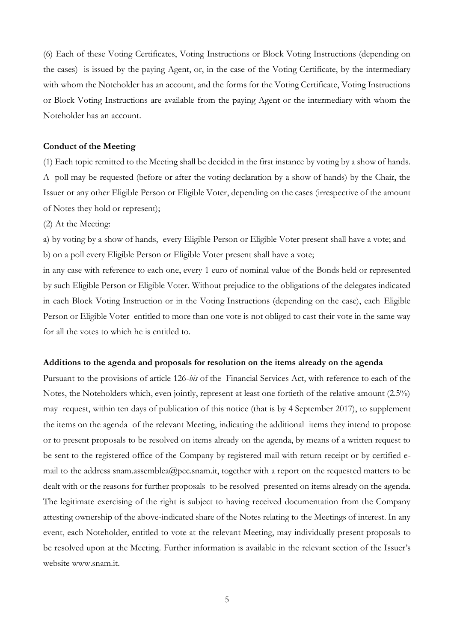(6) Each of these Voting Certificates, Voting Instructions or Block Voting Instructions (depending on the cases) is issued by the paying Agent, or, in the case of the Voting Certificate, by the intermediary with whom the Noteholder has an account, and the forms for the Voting Certificate, Voting Instructions or Block Voting Instructions are available from the paying Agent or the intermediary with whom the Noteholder has an account.

## **Conduct of the Meeting**

(1) Each topic remitted to the Meeting shall be decided in the first instance by voting by a show of hands. A poll may be requested (before or after the voting declaration by a show of hands) by the Chair, the Issuer or any other Eligible Person or Eligible Voter, depending on the cases (irrespective of the amount of Notes they hold or represent);

(2) At the Meeting:

a) by voting by a show of hands, every Eligible Person or Eligible Voter present shall have a vote; and b) on a poll every Eligible Person or Eligible Voter present shall have a vote;

in any case with reference to each one, every 1 euro of nominal value of the Bonds held or represented by such Eligible Person or Eligible Voter. Without prejudice to the obligations of the delegates indicated in each Block Voting Instruction or in the Voting Instructions (depending on the case), each Eligible Person or Eligible Voter entitled to more than one vote is not obliged to cast their vote in the same way for all the votes to which he is entitled to.

### **Additions to the agenda and proposals for resolution on the items already on the agenda**

Pursuant to the provisions of article 126-*bis* of the Financial Services Act, with reference to each of the Notes, the Noteholders which, even jointly, represent at least one fortieth of the relative amount (2.5%) may request, within ten days of publication of this notice (that is by 4 September 2017), to supplement the items on the agenda of the relevant Meeting, indicating the additional items they intend to propose or to present proposals to be resolved on items already on the agenda, by means of a written request to be sent to the registered office of the Company by registered mail with return receipt or by certified email to the address snam.assemblea@pec.snam.it, together with a report on the requested matters to be dealt with or the reasons for further proposals to be resolved presented on items already on the agenda. The legitimate exercising of the right is subject to having received documentation from the Company attesting ownership of the above-indicated share of the Notes relating to the Meetings of interest. In any event, each Noteholder, entitled to vote at the relevant Meeting, may individually present proposals to be resolved upon at the Meeting. Further information is available in the relevant section of the Issuer's website www.snam.it.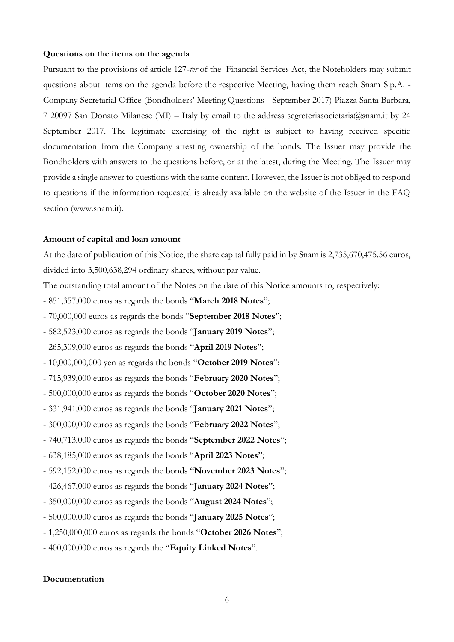## **Questions on the items on the agenda**

Pursuant to the provisions of article 127-*ter* of the Financial Services Act, the Noteholders may submit questions about items on the agenda before the respective Meeting, having them reach Snam S.p.A. - Company Secretarial Office (Bondholders' Meeting Questions - September 2017) Piazza Santa Barbara, 7 20097 San Donato Milanese (MI) – Italy by email to the address segreteriasocietaria@snam.it by 24 September 2017. The legitimate exercising of the right is subject to having received specific documentation from the Company attesting ownership of the bonds. The Issuer may provide the Bondholders with answers to the questions before, or at the latest, during the Meeting. The Issuer may provide a single answer to questions with the same content. However, the Issuer is not obliged to respond to questions if the information requested is already available on the website of the Issuer in the FAQ section (www.snam.it).

#### **Amount of capital and loan amount**

At the date of publication of this Notice, the share capital fully paid in by Snam is 2,735,670,475.56 euros, divided into 3,500,638,294 ordinary shares, without par value.

The outstanding total amount of the Notes on the date of this Notice amounts to, respectively:

- 851,357,000 euros as regards the bonds "**March 2018 Notes**";
- 70,000,000 euros as regards the bonds "**September 2018 Notes**";
- 582,523,000 euros as regards the bonds "**January 2019 Notes**";
- 265,309,000 euros as regards the bonds "**April 2019 Notes**";
- 10,000,000,000 yen as regards the bonds "**October 2019 Notes**";
- 715,939,000 euros as regards the bonds "**February 2020 Notes**";
- 500,000,000 euros as regards the bonds "**October 2020 Notes**";
- 331,941,000 euros as regards the bonds "**January 2021 Notes**";
- 300,000,000 euros as regards the bonds "**February 2022 Notes**";
- 740,713,000 euros as regards the bonds "**September 2022 Notes**";
- 638,185,000 euros as regards the bonds "**April 2023 Notes**";
- 592,152,000 euros as regards the bonds "**November 2023 Notes**";
- 426,467,000 euros as regards the bonds "**January 2024 Notes**";
- 350,000,000 euros as regards the bonds "**August 2024 Notes**";
- 500,000,000 euros as regards the bonds "**January 2025 Notes**";
- 1,250,000,000 euros as regards the bonds "**October 2026 Notes**";
- 400,000,000 euros as regards the "**Equity Linked Notes**".

## **Documentation**